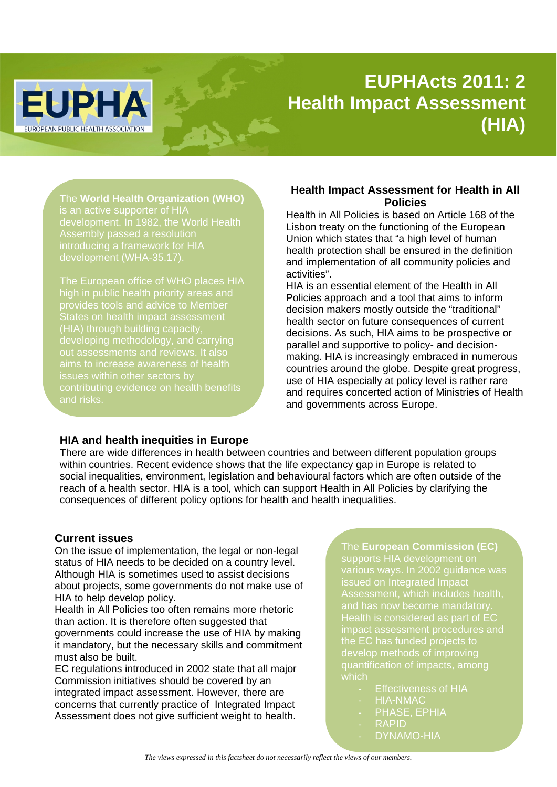# **EUPHActs 2011: 2 Health Impact Assessment (HIA)**

The **World Health Organization (WHO)** is an active supporter of HIA development. In 1982, the World Health Assembly passed a resolution introducing a framework for HIA development (WHA-35.17).

**EUPHA** 

**EUROPEAN PUBLIC HEALTH ASSOCIATION** 

The European office of WHO places HIA high in public health priority areas and provides tools and advice to Member States on health impact assessment (HIA) through building capacity, developing methodology, and carrying aims to increase awareness of health issues within other sectors by contributing evidence on health benefits and risks.

## **Health Impact Assessment for Health in All Policies**

Health in All Policies is based on Article 168 of the Lisbon treaty on the functioning of the European Union which states that "a high level of human health protection shall be ensured in the definition and implementation of all community policies and activities".

HIA is an essential element of the Health in All Policies approach and a tool that aims to inform decision makers mostly outside the "traditional" health sector on future consequences of current decisions. As such, HIA aims to be prospective or parallel and supportive to policy- and decisionmaking. HIA is increasingly embraced in numerous countries around the globe. Despite great progress, use of HIA especially at policy level is rather rare and requires concerted action of Ministries of Health and governments across Europe.

## **HIA and health inequities in Europe**

There are wide differences in health between countries and between different population groups within countries. Recent evidence shows that the life expectancy gap in Europe is related to social inequalities, environment, legislation and behavioural factors which are often outside of the reach of a health sector. HIA is a tool, which can support Health in All Policies by clarifying the consequences of different policy options for health and health inequalities.

#### **Current issues**

On the issue of implementation, the legal or non-legal status of HIA needs to be decided on a country level. Although HIA is sometimes used to assist decisions about projects, some governments do not make use of HIA to help develop policy.

Health in All Policies too often remains more rhetoric than action. It is therefore often suggested that governments could increase the use of HIA by making it mandatory, but the necessary skills and commitment must also be built.

EC regulations introduced in 2002 state that all major Commission initiatives should be covered by an integrated impact assessment. However, there are concerns that currently practice of Integrated Impact Assessment does not give sufficient weight to health.

The **European Commission (EC)** supports HIA development on various ways. In 2002 guidance was issued on Integrated Impact Assessment, which includes health, and has now become mandatory. Health is considered as part of EC impact assessment procedures and the EC has funded projects to develop methods of improving which

- **Effectiveness of HIA**
- **HIA-NMAC**
- PHASE, EPHIA
- **RAPID**
- DYNAMO-HIA